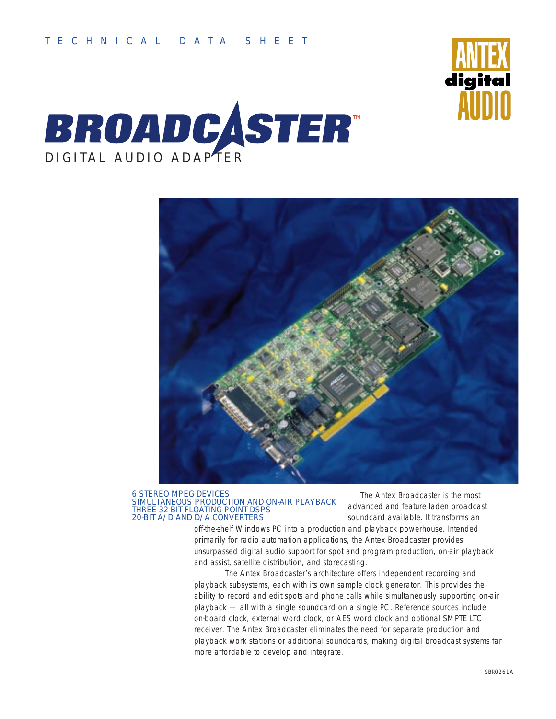





#### 6 STEREO MPEG DEVICES SIMULTANEOUS PRODUCTION AND ON-AIR PLAYBACK THREE 32-BIT FLOATING POINT DSPS 20-BIT A/D AND D/A CONVERTERS

The Antex Broadcaster is the most advanced and feature laden broadcast soundcard available. It transforms an

off-the-shelf Windows PC into a production and playback powerhouse. Intended primarily for radio automation applications, the Antex Broadcaster provides unsurpassed digital audio support for spot and program production, on-air playback and assist, satellite distribution, and storecasting.

The Antex Broadcaster's architecture offers independent recording and playback subsystems, each with its own sample clock generator. This provides the ability to record and edit spots and phone calls while simultaneously supporting on-air playback — all with a single soundcard on a single PC. Reference sources include on-board clock, external word clock, or AES word clock and optional SMPTE LTC receiver. The Antex Broadcaster eliminates the need for separate production and playback work stations or additional soundcards, making digital broadcast systems far more affordable to develop and integrate.